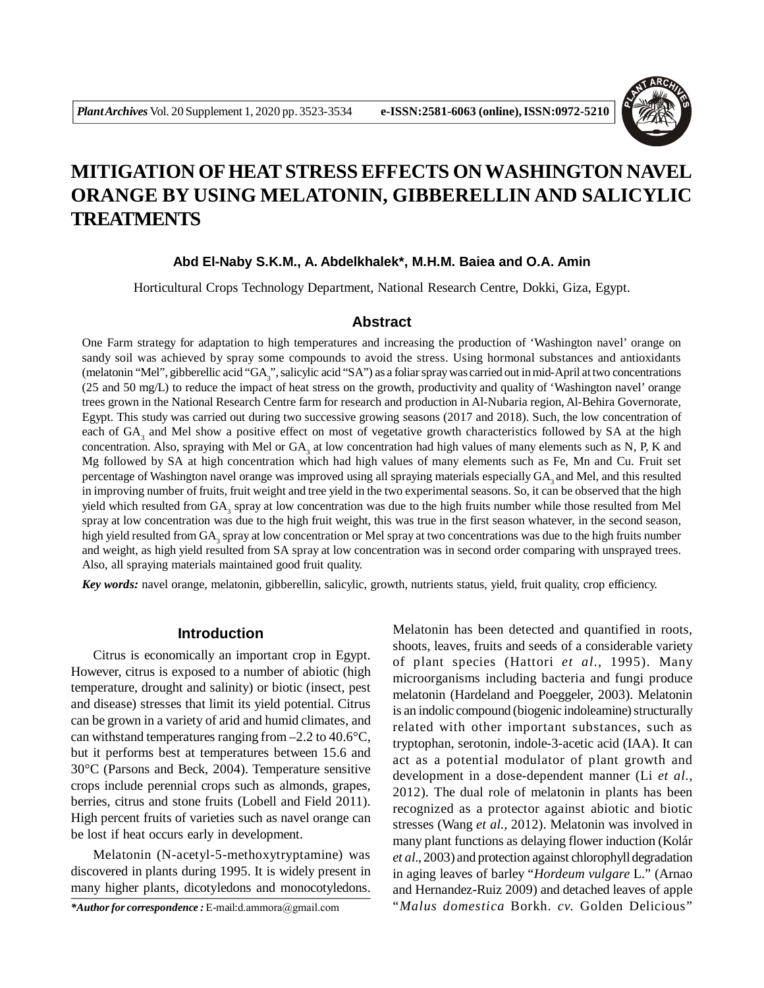

# **MITIGATION OF HEAT STRESS EFFECTS ON WASHINGTON NAVEL ORANGE BY USING MELATONIN, GIBBERELLIN AND SALICYLIC TREATMENTS**

## **Abd El-Naby S.K.M., A. Abdelkhalek\*, M.H.M. Baiea and O.A. Amin**

Horticultural Crops Technology Department, National Research Centre, Dokki, Giza, Egypt.

### **Abstract**

One Farm strategy for adaptation to high temperatures and increasing the production of 'Washington navel' orange on sandy soil was achieved by spray some compounds to avoid the stress. Using hormonal substances and antioxidants (melatonin "Mel", gibberellic acid "GA<sub>3</sub>", salicylic acid "SA") as a foliar spray was carried out in mid-April at two concentrations (25 and 50 mg/L) to reduce the impact of heat stress on the growth, productivity and quality of 'Washington navel' orange trees grown in the National Research Centre farm for research and production in Al-Nubaria region, Al-Behira Governorate, Egypt. This study was carried out during two successive growing seasons (2017 and 2018). Such, the low concentration of each of GA<sub>3</sub> and Mel show a positive effect on most of vegetative growth characteristics followed by SA at the high concentration. Also, spraying with Mel or  $GA_3$  at low concentration had high values of many elements such as N, P, K and Mg followed by SA at high concentration which had high values of many elements such as Fe, Mn and Cu. Fruit set percentage of Washington navel orange was improved using all spraying materials especially GA, and Mel, and this resulted in improving number of fruits, fruit weight and tree yield in the two experimental seasons. So, it can be observed that the high yield which resulted from GA<sub>3</sub> spray at low concentration was due to the high fruits number while those resulted from Mel spray at low concentration was due to the high fruit weight, this was true in the first season whatever, in the second season, high yield resulted from GA<sub>3</sub> spray at low concentration or Mel spray at two concentrations was due to the high fruits number and weight, as high yield resulted from SA spray at low concentration was in second order comparing with unsprayed trees. Also, all spraying materials maintained good fruit quality.

*Key words:* navel orange, melatonin, gibberellin, salicylic, growth, nutrients status, yield, fruit quality, crop efficiency.

### **Introduction**

Citrus is economically an important crop in Egypt. However, citrus is exposed to a number of abiotic (high temperature, drought and salinity) or biotic (insect, pest and disease) stresses that limit its yield potential. Citrus can be grown in a variety of arid and humid climates, and can withstand temperatures ranging from  $-2.2$  to  $40.6^{\circ}$ C, but it performs best at temperatures between 15.6 and 30°C (Parsons and Beck, 2004). Temperature sensitive crops include perennial crops such as almonds, grapes, berries, citrus and stone fruits (Lobell and Field 2011). High percent fruits of varieties such as navel orange can be lost if heat occurs early in development.

Melatonin (N-acetyl-5-methoxytryptamine) was discovered in plants during 1995. It is widely present in many higher plants, dicotyledons and monocotyledons.

*\*Author for correspondence :* E-mail:d.ammora@gmail.com

Melatonin has been detected and quantified in roots, shoots, leaves, fruits and seeds of a considerable variety of plant species (Hattori *et al.,* 1995). Many microorganisms including bacteria and fungi produce melatonin (Hardeland and Poeggeler, 2003). Melatonin is an indolic compound (biogenic indoleamine) structurally related with other important substances, such as tryptophan, serotonin, indole-3-acetic acid (IAA). It can act as a potential modulator of plant growth and development in a dose-dependent manner (Li *et al.,* 2012). The dual role of melatonin in plants has been recognized as a protector against abiotic and biotic stresses (Wang *et al.,* 2012). Melatonin was involved in many plant functions as delaying flower induction (Kolár *et al*., 2003) and protection against chlorophyll degradation in aging leaves of barley "*Hordeum vulgare* L." (Arnao and Hernandez-Ruiz 2009) and detached leaves of apple "*Malus domestica* Borkh. *cv.* Golden Delicious"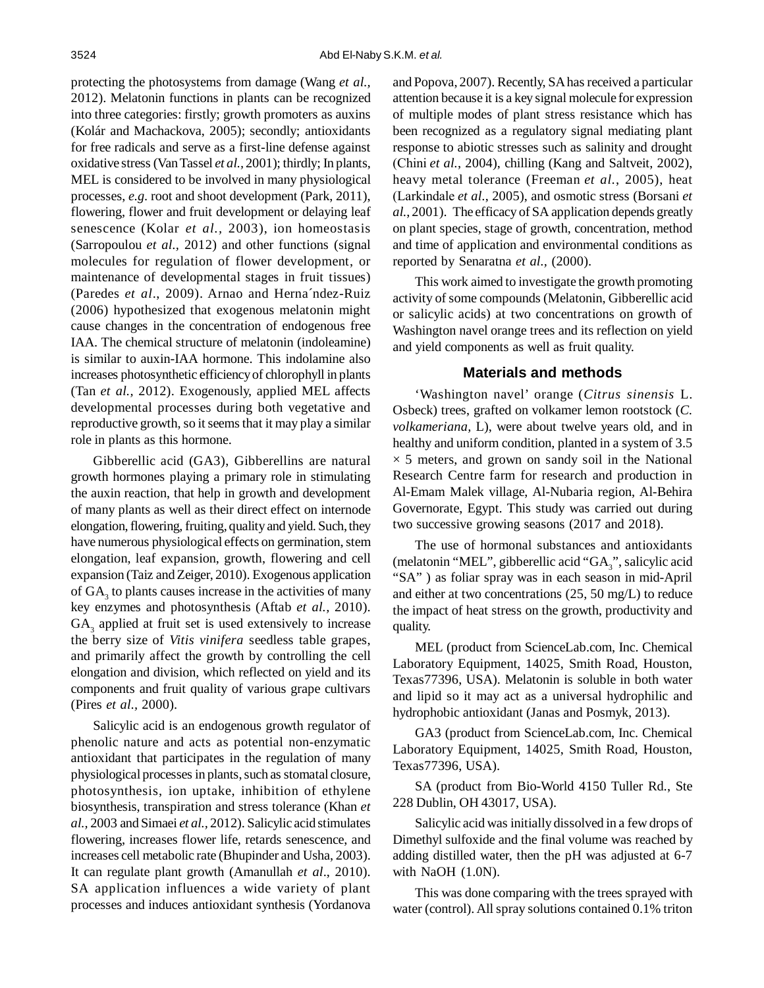protecting the photosystems from damage (Wang *et al.,* 2012). Melatonin functions in plants can be recognized into three categories: firstly; growth promoters as auxins (Kolár and Machackova, 2005); secondly; antioxidants for free radicals and serve as a first-line defense against oxidative stress (Van Tassel *et al.,* 2001); thirdly; In plants, MEL is considered to be involved in many physiological processes, *e.g.* root and shoot development (Park, 2011), flowering, flower and fruit development or delaying leaf senescence (Kolar *et al.,* 2003), ion homeostasis (Sarropoulou *et al.,* 2012) and other functions (signal molecules for regulation of flower development, or maintenance of developmental stages in fruit tissues) (Paredes *et al*., 2009). Arnao and Herna´ndez-Ruiz (2006) hypothesized that exogenous melatonin might cause changes in the concentration of endogenous free IAA. The chemical structure of melatonin (indoleamine) is similar to auxin-IAA hormone. This indolamine also increases photosynthetic efficiency of chlorophyll in plants (Tan *et al.,* 2012). Exogenously, applied MEL affects developmental processes during both vegetative and reproductive growth, so it seems that it may play a similar role in plants as this hormone.

Gibberellic acid (GA3), Gibberellins are natural growth hormones playing a primary role in stimulating the auxin reaction, that help in growth and development of many plants as well as their direct effect on internode elongation, flowering, fruiting, quality and yield. Such, they have numerous physiological effects on germination, stem elongation, leaf expansion, growth, flowering and cell expansion (Taiz and Zeiger, 2010). Exogenous application of  $GA_3$  to plants causes increase in the activities of many key enzymes and photosynthesis (Aftab *et al.,* 2010).  $GA<sub>3</sub>$  applied at fruit set is used extensively to increase the berry size of *Vitis vinifera* seedless table grapes, and primarily affect the growth by controlling the cell elongation and division, which reflected on yield and its components and fruit quality of various grape cultivars (Pires *et al.,* 2000).

Salicylic acid is an endogenous growth regulator of phenolic nature and acts as potential non-enzymatic antioxidant that participates in the regulation of many physiological processes in plants, such as stomatal closure, photosynthesis, ion uptake, inhibition of ethylene biosynthesis, transpiration and stress tolerance (Khan *et al.,* 2003 and Simaei *et al.,* 2012). Salicylic acid stimulates flowering, increases flower life, retards senescence, and increases cell metabolic rate (Bhupinder and Usha, 2003). It can regulate plant growth (Amanullah *et al*., 2010). SA application influences a wide variety of plant processes and induces antioxidant synthesis (Yordanova and Popova, 2007). Recently, SA has received a particular attention because it is a key signal molecule for expression of multiple modes of plant stress resistance which has been recognized as a regulatory signal mediating plant response to abiotic stresses such as salinity and drought (Chini *et al.*, 2004), chilling (Kang and Saltveit, 2002), heavy metal tolerance (Freeman *et al.*, 2005), heat (Larkindale *et al.*, 2005), and osmotic stress (Borsani *et al.*, 2001). The efficacy of SA application depends greatly on plant species, stage of growth, concentration, method and time of application and environmental conditions as reported by Senaratna *et al.,* (2000).

This work aimed to investigate the growth promoting activity of some compounds (Melatonin, Gibberellic acid or salicylic acids) at two concentrations on growth of Washington navel orange trees and its reflection on yield and yield components as well as fruit quality.

### **Materials and methods**

'Washington navel' orange (*Citrus sinensis* L. Osbeck) trees, grafted on volkamer lemon rootstock (*C. volkameriana,* L), were about twelve years old, and in healthy and uniform condition, planted in a system of 3.5  $\times$  5 meters, and grown on sandy soil in the National Research Centre farm for research and production in Al-Emam Malek village, Al-Nubaria region, Al-Behira Governorate, Egypt. This study was carried out during two successive growing seasons (2017 and 2018).

The use of hormonal substances and antioxidants (melatonin "MEL", gibberellic acid "GA<sub>3</sub>", salicylic acid "SA" ) as foliar spray was in each season in mid-April and either at two concentrations (25, 50 mg/L) to reduce the impact of heat stress on the growth, productivity and quality.

MEL (product from ScienceLab.com, Inc. Chemical Laboratory Equipment, 14025, Smith Road, Houston, Texas77396, USA). Melatonin is soluble in both water and lipid so it may act as a universal hydrophilic and hydrophobic antioxidant (Janas and Posmyk, 2013).

GA3 (product from ScienceLab.com, Inc. Chemical Laboratory Equipment, 14025, Smith Road, Houston, Texas77396, USA).

SA (product from Bio-World 4150 Tuller Rd., Ste 228 Dublin, OH 43017, USA).

Salicylic acid was initially dissolved in a few drops of Dimethyl sulfoxide and the final volume was reached by adding distilled water, then the pH was adjusted at 6-7 with NaOH  $(1.0N)$ .

This was done comparing with the trees sprayed with water (control). All spray solutions contained 0.1% triton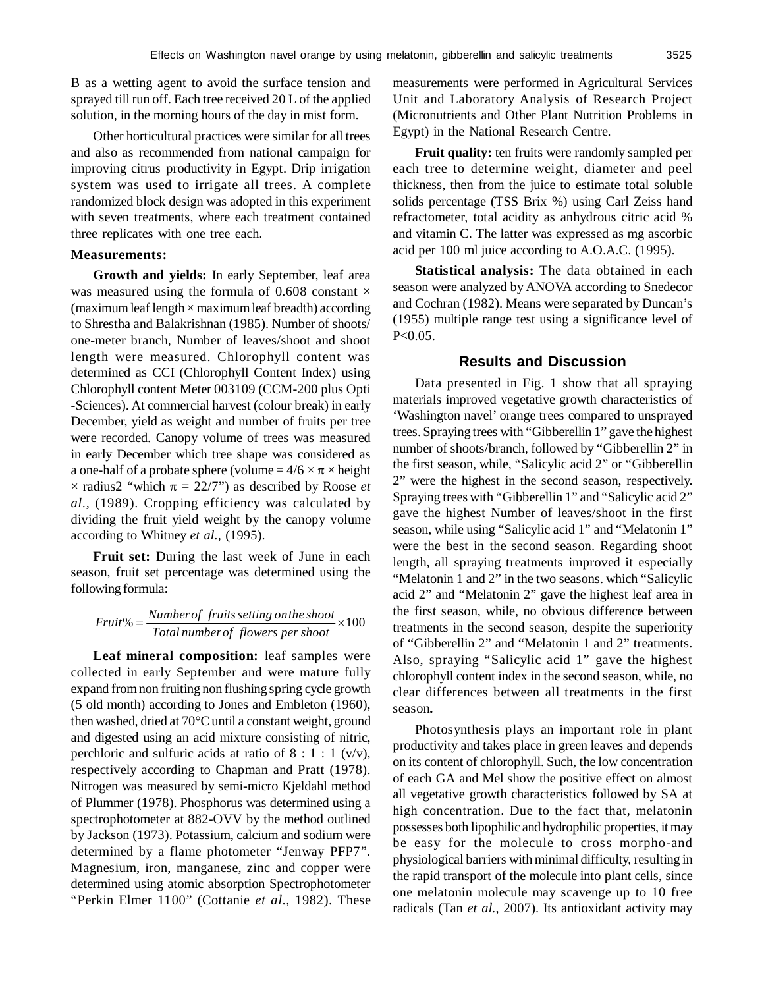B as a wetting agent to avoid the surface tension and sprayed till run off. Each tree received 20 L of the applied solution, in the morning hours of the day in mist form.

Other horticultural practices were similar for all trees and also as recommended from national campaign for improving citrus productivity in Egypt. Drip irrigation system was used to irrigate all trees. A complete randomized block design was adopted in this experiment with seven treatments, where each treatment contained three replicates with one tree each.

### **Measurements:**

**Growth and yields:** In early September, leaf area was measured using the formula of 0.608 constant  $\times$ (maximum leaf length  $\times$  maximum leaf breadth) according to Shrestha and Balakrishnan (1985). Number of shoots/ one-meter branch, Number of leaves/shoot and shoot length were measured. Chlorophyll content was determined as CCI (Chlorophyll Content Index) using Chlorophyll content Meter 003109 (CCM-200 plus Opti -Sciences). At commercial harvest (colour break) in early December, yield as weight and number of fruits per tree were recorded. Canopy volume of trees was measured in early December which tree shape was considered as a one-half of a probate sphere (volume =  $4/6 \times \pi \times$  height  $\times$  radius2 "which  $\pi = 22/7$ ") as described by Roose *et al.,* (1989). Cropping efficiency was calculated by dividing the fruit yield weight by the canopy volume according to Whitney *et al.,* (1995).

**Fruit set:** During the last week of June in each season, fruit set percentage was determined using the following formula:

# % 100 *Total numberof flowers per shoot Numberof fruitssetting onthe shoot Fruit*

**Leaf mineral composition:** leaf samples were collected in early September and were mature fully expand from non fruiting non flushing spring cycle growth (5 old month) according to Jones and Embleton (1960), then washed, dried at 70°C until a constant weight, ground and digested using an acid mixture consisting of nitric, perchloric and sulfuric acids at ratio of  $8 : 1 : 1$  (v/v), respectively according to Chapman and Pratt (1978). Nitrogen was measured by semi-micro Kjeldahl method of Plummer (1978). Phosphorus was determined using a spectrophotometer at 882-OVV by the method outlined by Jackson (1973). Potassium, calcium and sodium were determined by a flame photometer "Jenway PFP7". Magnesium, iron, manganese, zinc and copper were determined using atomic absorption Spectrophotometer "Perkin Elmer 1100" (Cottanie *et al.,* 1982). These measurements were performed in Agricultural Services Unit and Laboratory Analysis of Research Project (Micronutrients and Other Plant Nutrition Problems in Egypt) in the National Research Centre.

**Fruit quality:** ten fruits were randomly sampled per each tree to determine weight, diameter and peel thickness, then from the juice to estimate total soluble solids percentage (TSS Brix %) using Carl Zeiss hand refractometer, total acidity as anhydrous citric acid % and vitamin C. The latter was expressed as mg ascorbic acid per 100 ml juice according to A.O.A.C. (1995).

**Statistical analysis:** The data obtained in each season were analyzed by ANOVA according to Snedecor and Cochran (1982). Means were separated by Duncan's (1955) multiple range test using a significance level of  $P < 0.05$ .

### **Results and Discussion**

Data presented in Fig. 1 show that all spraying materials improved vegetative growth characteristics of 'Washington navel' orange trees compared to unsprayed trees. Spraying trees with "Gibberellin 1" gave the highest number of shoots/branch, followed by "Gibberellin 2" in the first season, while, "Salicylic acid 2" or "Gibberellin 2" were the highest in the second season, respectively. Spraying trees with "Gibberellin 1" and "Salicylic acid 2" gave the highest Number of leaves/shoot in the first season, while using "Salicylic acid 1" and "Melatonin 1" were the best in the second season. Regarding shoot length, all spraying treatments improved it especially "Melatonin 1 and 2" in the two seasons. which "Salicylic acid 2" and "Melatonin 2" gave the highest leaf area in the first season, while, no obvious difference between treatments in the second season, despite the superiority of "Gibberellin 2" and "Melatonin 1 and 2" treatments. Also, spraying "Salicylic acid 1" gave the highest chlorophyll content index in the second season, while, no clear differences between all treatments in the first season*.*

Photosynthesis plays an important role in plant productivity and takes place in green leaves and depends on its content of chlorophyll. Such, the low concentration of each GA and Mel show the positive effect on almost all vegetative growth characteristics followed by SA at high concentration. Due to the fact that, melatonin possesses both lipophilic and hydrophilic properties, it may be easy for the molecule to cross morpho-and physiological barriers with minimal difficulty, resulting in the rapid transport of the molecule into plant cells, since one melatonin molecule may scavenge up to 10 free radicals (Tan *et al.*, 2007). Its antioxidant activity may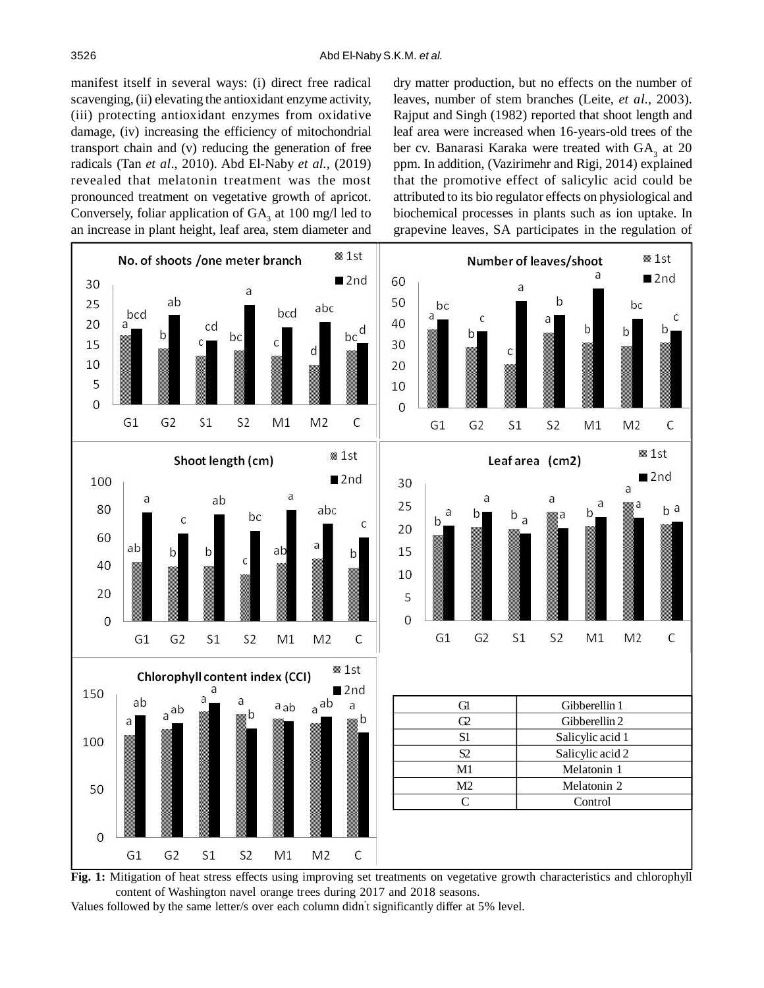manifest itself in several ways: (i) direct free radical scavenging, (ii) elevating the antioxidant enzyme activity, (iii) protecting antioxidant enzymes from oxidative damage, (iv) increasing the efficiency of mitochondrial transport chain and (v) reducing the generation of free radicals (Tan *et al*., 2010). Abd El-Naby *et al.,* (2019) revealed that melatonin treatment was the most pronounced treatment on vegetative growth of apricot. Conversely, foliar application of  $GA_3$  at 100 mg/l led to an increase in plant height, leaf area, stem diameter and

dry matter production, but no effects on the number of leaves, number of stem branches (Leite, *et al.,* 2003). Rajput and Singh (1982) reported that shoot length and leaf area were increased when 16-years-old trees of the ber cv. Banarasi Karaka were treated with  $GA_3$  at 20 ppm. In addition, (Vazirimehr and Rigi, 2014) explained that the promotive effect of salicylic acid could be attributed to its bio regulator effects on physiological and biochemical processes in plants such as ion uptake. In grapevine leaves, SA participates in the regulation of



**Fig. 1:** Mitigation of heat stress effects using improving set treatments on vegetative growth characteristics and chlorophyll content of Washington navel orange trees during 2017 and 2018 seasons.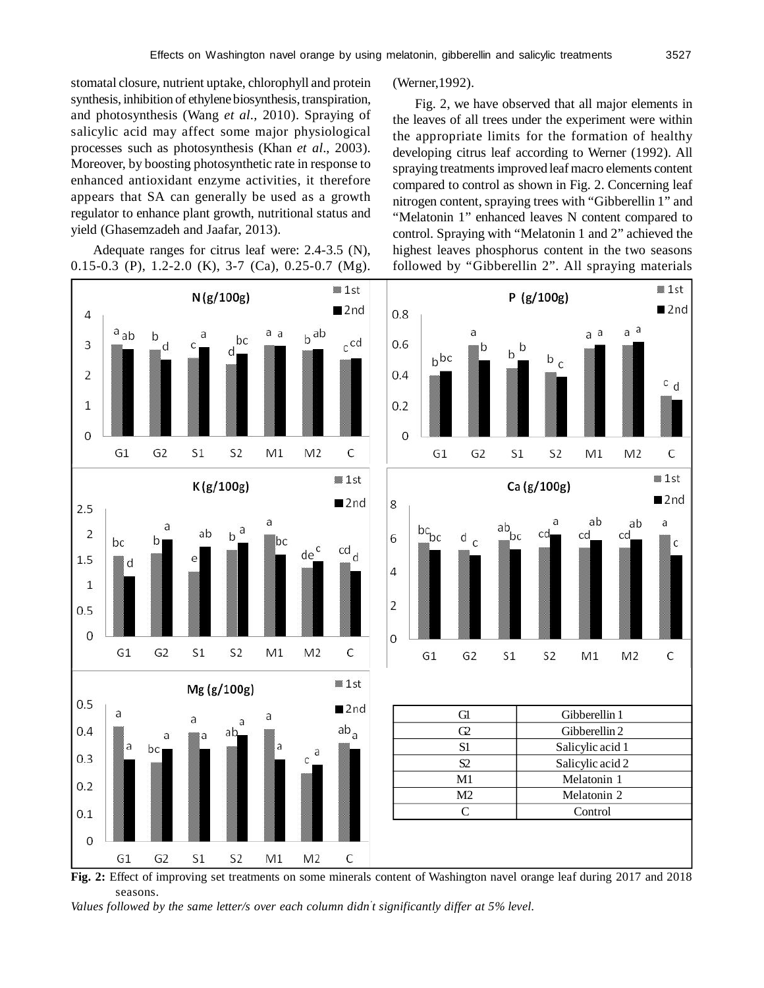stomatal closure, nutrient uptake, chlorophyll and protein synthesis, inhibition of ethylene biosynthesis, transpiration, and photosynthesis (Wang *et al.,* 2010). Spraying of salicylic acid may affect some major physiological processes such as photosynthesis (Khan *et al*., 2003). Moreover, by boosting photosynthetic rate in response to enhanced antioxidant enzyme activities, it therefore appears that SA can generally be used as a growth regulator to enhance plant growth, nutritional status and yield (Ghasemzadeh and Jaafar, 2013).

Adequate ranges for citrus leaf were: 2.4-3.5 (N), 0.15-0.3 (P), 1.2-2.0 (K), 3-7 (Ca), 0.25-0.7 (Mg).



(Werner,1992).

Fig. 2, we have observed that all major elements in the leaves of all trees under the experiment were within the appropriate limits for the formation of healthy developing citrus leaf according to Werner (1992). All spraying treatments improved leaf macro elements content compared to control as shown in Fig. 2. Concerning leaf nitrogen content, spraying trees with "Gibberellin 1" and "Melatonin 1" enhanced leaves N content compared to control. Spraying with "Melatonin 1 and 2" achieved the highest leaves phosphorus content in the two seasons followed by "Gibberellin 2". All spraying materials



**Fig. 2:** Effect of improving set treatments on some minerals content of Washington navel orange leaf during 2017 and 2018 seasons.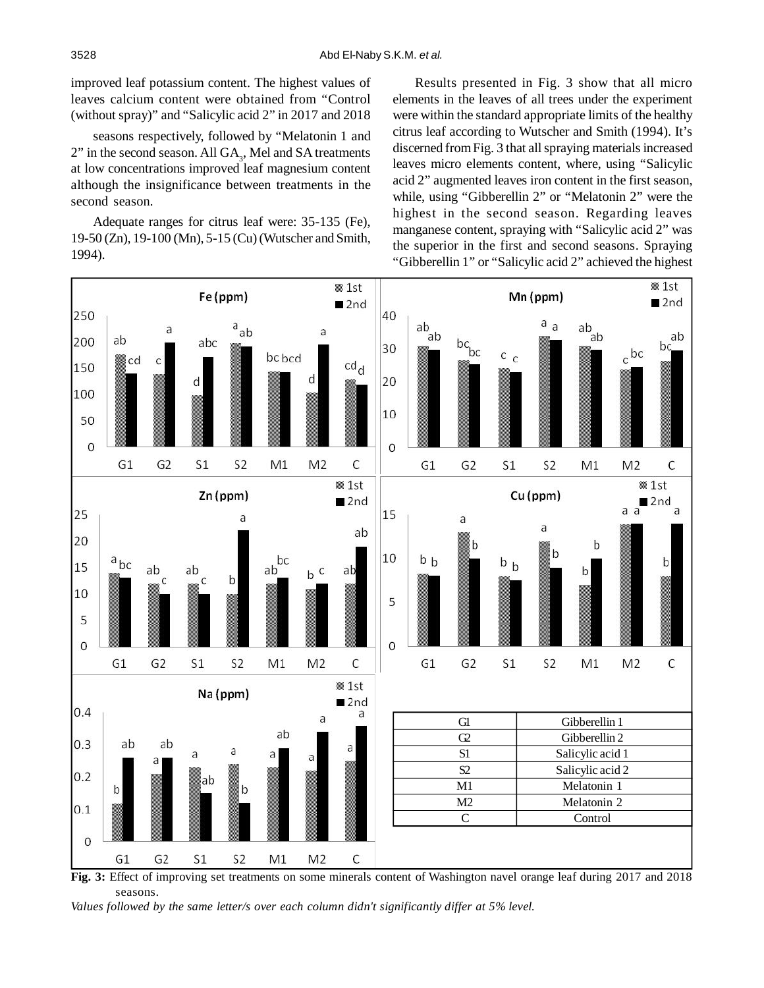improved leaf potassium content. The highest values of leaves calcium content were obtained from "Control (without spray)" and "Salicylic acid 2" in 2017 and 2018

seasons respectively, followed by "Melatonin 1 and  $2$ " in the second season. All  $GA_3$ , Mel and SA treatments at low concentrations improved leaf magnesium content although the insignificance between treatments in the second season.

Adequate ranges for citrus leaf were: 35-135 (Fe), 19-50 (Zn), 19-100 (Mn), 5-15 (Cu) (Wutscher and Smith, 1994).

Results presented in Fig. 3 show that all micro elements in the leaves of all trees under the experiment were within the standard appropriate limits of the healthy citrus leaf according to Wutscher and Smith (1994). It's discerned from Fig. 3 that all spraying materials increased leaves micro elements content, where, using "Salicylic acid 2" augmented leaves iron content in the first season, while, using "Gibberellin 2" or "Melatonin 2" were the highest in the second season. Regarding leaves manganese content, spraying with "Salicylic acid 2" was the superior in the first and second seasons. Spraying "Gibberellin 1" or "Salicylic acid 2" achieved the highest



**Fig. 3:** Effect of improving set treatments on some minerals content of Washington navel orange leaf during 2017 and 2018 seasons.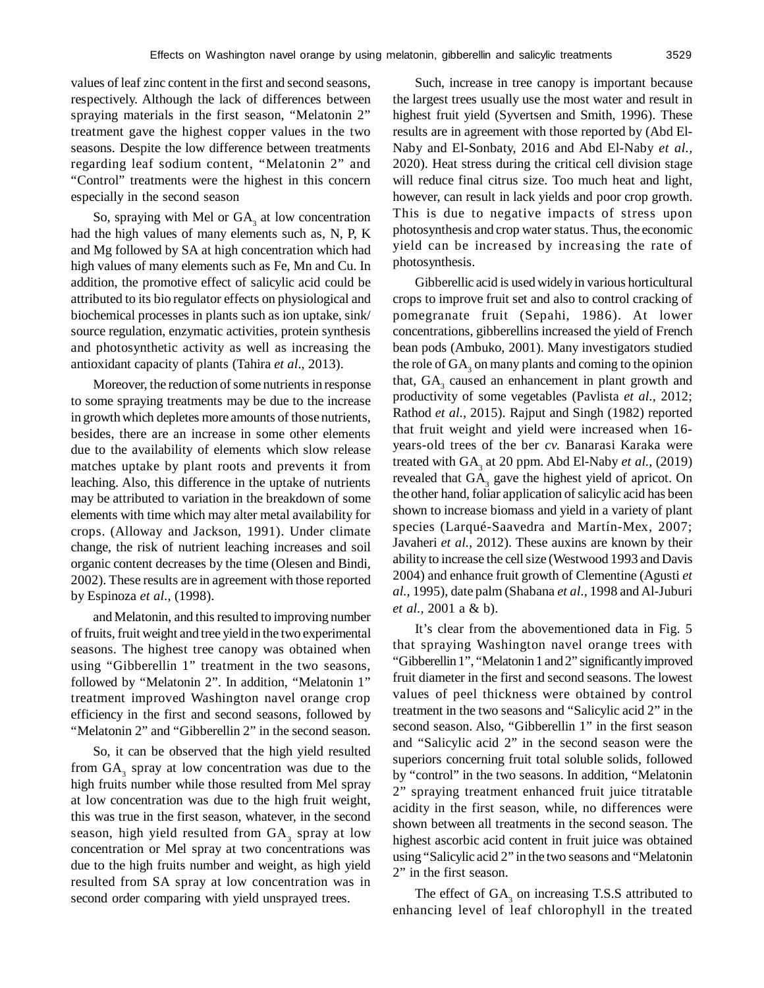values of leaf zinc content in the first and second seasons, respectively. Although the lack of differences between spraying materials in the first season, "Melatonin 2" treatment gave the highest copper values in the two seasons. Despite the low difference between treatments regarding leaf sodium content, "Melatonin 2" and "Control" treatments were the highest in this concern especially in the second season

So, spraying with Mel or  $GA<sub>3</sub>$  at low concentration had the high values of many elements such as, N, P, K and Mg followed by SA at high concentration which had high values of many elements such as Fe, Mn and Cu. In addition, the promotive effect of salicylic acid could be attributed to its bio regulator effects on physiological and biochemical processes in plants such as ion uptake, sink/ source regulation, enzymatic activities, protein synthesis and photosynthetic activity as well as increasing the antioxidant capacity of plants (Tahira *et al*., 2013).

Moreover, the reduction of some nutrients in response to some spraying treatments may be due to the increase in growth which depletes more amounts of those nutrients, besides, there are an increase in some other elements due to the availability of elements which slow release matches uptake by plant roots and prevents it from leaching. Also, this difference in the uptake of nutrients may be attributed to variation in the breakdown of some elements with time which may alter metal availability for crops. (Alloway and Jackson, 1991). Under climate change, the risk of nutrient leaching increases and soil organic content decreases by the time (Olesen and Bindi, 2002). These results are in agreement with those reported by Espinoza *et al.,* (1998).

and Melatonin, and this resulted to improving number of fruits, fruit weight and tree yield in the two experimental seasons. The highest tree canopy was obtained when using "Gibberellin 1" treatment in the two seasons, followed by "Melatonin 2". In addition, "Melatonin 1" treatment improved Washington navel orange crop efficiency in the first and second seasons, followed by "Melatonin 2" and "Gibberellin 2" in the second season.

So, it can be observed that the high yield resulted from  $GA_3$  spray at low concentration was due to the high fruits number while those resulted from Mel spray at low concentration was due to the high fruit weight, this was true in the first season, whatever, in the second season, high yield resulted from  $GA_3$  spray at low concentration or Mel spray at two concentrations was due to the high fruits number and weight, as high yield resulted from SA spray at low concentration was in second order comparing with yield unsprayed trees.

Such, increase in tree canopy is important because the largest trees usually use the most water and result in highest fruit yield (Syvertsen and Smith, 1996). These results are in agreement with those reported by (Abd El-Naby and El-Sonbaty, 2016 and Abd El-Naby *et al.,* 2020). Heat stress during the critical cell division stage will reduce final citrus size. Too much heat and light, however, can result in lack yields and poor crop growth. This is due to negative impacts of stress upon photosynthesis and crop water status. Thus, the economic yield can be increased by increasing the rate of photosynthesis.

Gibberellic acid is used widely in various horticultural crops to improve fruit set and also to control cracking of pomegranate fruit (Sepahi, 1986). At lower concentrations, gibberellins increased the yield of French bean pods (Ambuko, 2001). Many investigators studied the role of  $\text{GA}_3$  on many plants and coming to the opinion that,  $GA_3$  caused an enhancement in plant growth and productivity of some vegetables (Pavlista *et al.,* 2012; Rathod *et al.,* 2015). Rajput and Singh (1982) reported that fruit weight and yield were increased when 16 years-old trees of the ber *cv.* Banarasi Karaka were treated with GA<sub>3</sub> at 20 ppm. Abd El-Naby *et al.*, (2019) revealed that GA<sub>3</sub> gave the highest yield of apricot. On the other hand, foliar application of salicylic acid has been shown to increase biomass and yield in a variety of plant species (Larqué-Saavedra and Martín-Mex, 2007; Javaheri *et al.,* 2012). These auxins are known by their ability to increase the cell size (Westwood 1993 and Davis 2004) and enhance fruit growth of Clementine (Agusti *et al.,* 1995), date palm (Shabana *et al.,* 1998 and Al-Juburi *et al.,* 2001 a & b).

It's clear from the abovementioned data in Fig. 5 that spraying Washington navel orange trees with "Gibberellin 1", "Melatonin 1 and 2" significantly improved fruit diameter in the first and second seasons. The lowest values of peel thickness were obtained by control treatment in the two seasons and "Salicylic acid 2" in the second season. Also, "Gibberellin 1" in the first season and "Salicylic acid 2" in the second season were the superiors concerning fruit total soluble solids, followed by "control" in the two seasons. In addition, "Melatonin 2" spraying treatment enhanced fruit juice titratable acidity in the first season, while, no differences were shown between all treatments in the second season. The highest ascorbic acid content in fruit juice was obtained using "Salicylic acid 2" in the two seasons and "Melatonin 2" in the first season.

The effect of  $GA_3$  on increasing T.S.S attributed to enhancing level of leaf chlorophyll in the treated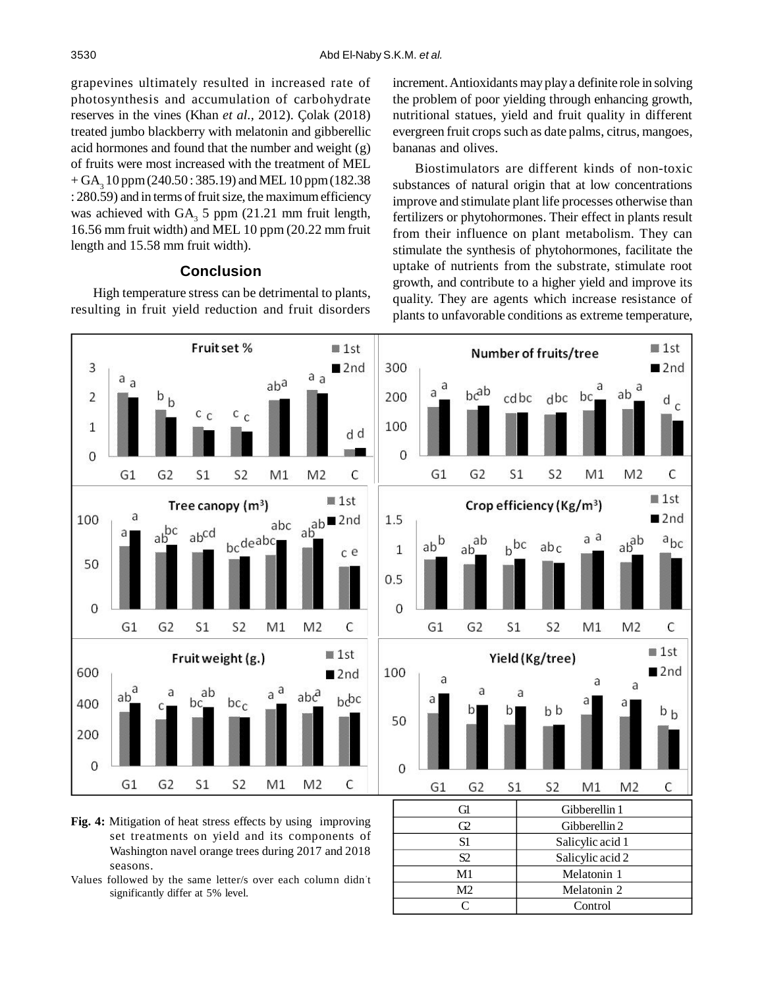grapevines ultimately resulted in increased rate of photosynthesis and accumulation of carbohydrate reserves in the vines (Khan *et al.,* 2012). Çolak (2018) treated jumbo blackberry with melatonin and gibberellic acid hormones and found that the number and weight (g) of fruits were most increased with the treatment of MEL  $+$  GA<sub>3</sub> 10 ppm (240.50 : 385.19) and MEL 10 ppm (182.38 : 280.59) and in terms of fruit size, the maximum efficiency was achieved with  $GA_3$  5 ppm (21.21 mm fruit length, 16.56 mm fruit width) and MEL 10 ppm (20.22 mm fruit length and 15.58 mm fruit width).

# **Conclusion**

High temperature stress can be detrimental to plants, resulting in fruit yield reduction and fruit disorders increment. Antioxidants may play a definite role in solving the problem of poor yielding through enhancing growth, nutritional statues, yield and fruit quality in different evergreen fruit crops such as date palms, citrus, mangoes, bananas and olives.

Biostimulators are different kinds of non-toxic substances of natural origin that at low concentrations improve and stimulate plant life processes otherwise than fertilizers or phytohormones. Their effect in plants result from their influence on plant metabolism. They can stimulate the synthesis of phytohormones, facilitate the uptake of nutrients from the substrate, stimulate root growth, and contribute to a higher yield and improve its quality. They are agents which increase resistance of plants to unfavorable conditions as extreme temperature,

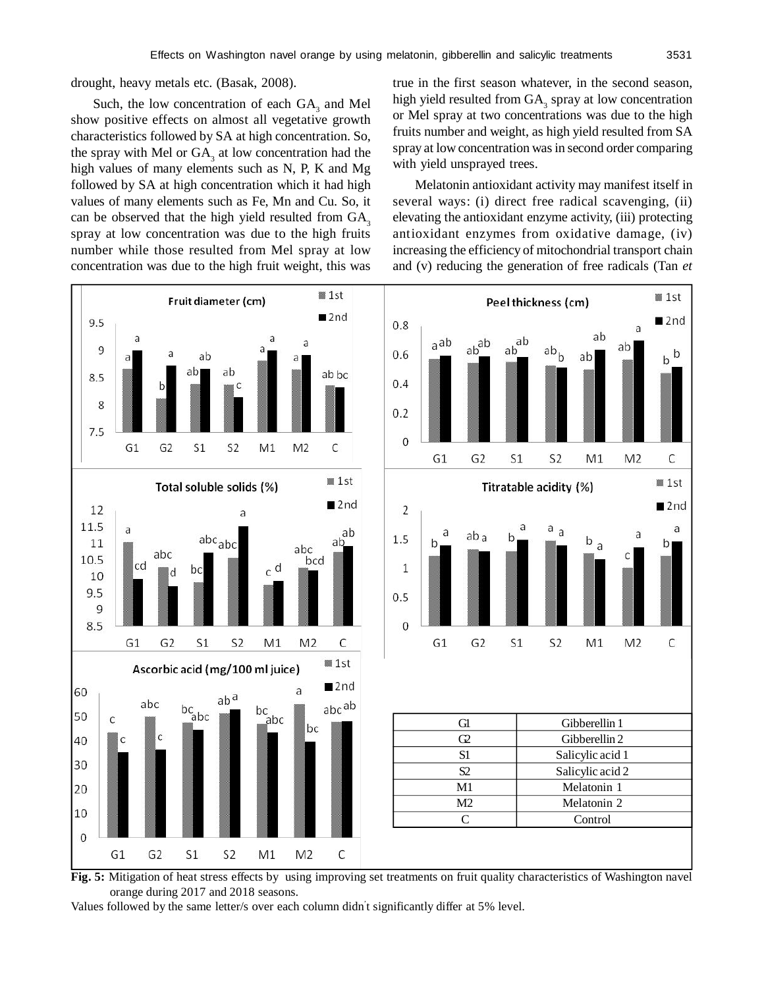drought, heavy metals etc. (Basak, 2008).

Such, the low concentration of each  $GA_3$  and Mel show positive effects on almost all vegetative growth characteristics followed by SA at high concentration. So, the spray with Mel or  $GA_3$  at low concentration had the high values of many elements such as N, P, K and Mg followed by SA at high concentration which it had high values of many elements such as Fe, Mn and Cu. So, it can be observed that the high yield resulted from  $GA_3$ spray at low concentration was due to the high fruits number while those resulted from Mel spray at low concentration was due to the high fruit weight, this was true in the first season whatever, in the second season, high yield resulted from  $GA_3$  spray at low concentration or Mel spray at two concentrations was due to the high fruits number and weight, as high yield resulted from SA spray at low concentration was in second order comparing with yield unsprayed trees.

Melatonin antioxidant activity may manifest itself in several ways: (i) direct free radical scavenging, (ii) elevating the antioxidant enzyme activity, (iii) protecting antioxidant enzymes from oxidative damage, (iv) increasing the efficiency of mitochondrial transport chain and (v) reducing the generation of free radicals (Tan *et*



**Fig. 5:** Mitigation of heat stress effects by using improving set treatments on fruit quality characteristics of Washington navel orange during 2017 and 2018 seasons.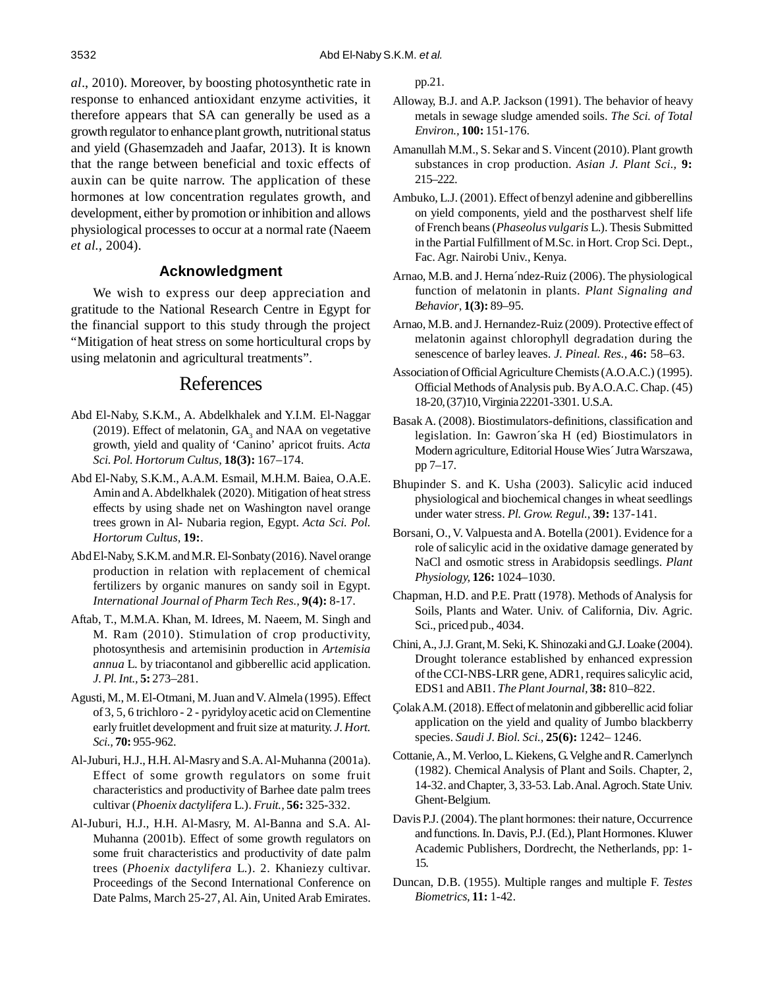*al*., 2010). Moreover, by boosting photosynthetic rate in response to enhanced antioxidant enzyme activities, it therefore appears that SA can generally be used as a growth regulator to enhance plant growth, nutritional status and yield (Ghasemzadeh and Jaafar, 2013). It is known that the range between beneficial and toxic effects of auxin can be quite narrow. The application of these hormones at low concentration regulates growth, and development, either by promotion or inhibition and allows physiological processes to occur at a normal rate (Naeem *et al.,* 2004).

## **Acknowledgment**

We wish to express our deep appreciation and gratitude to the National Research Centre in Egypt for the financial support to this study through the project "Mitigation of heat stress on some horticultural crops by using melatonin and agricultural treatments".

# References

- Abd El-Naby, S.K.M., A. Abdelkhalek and Y.I.M. El-Naggar (2019). Effect of melatonin,  $GA_3$  and NAA on vegetative growth, yield and quality of 'Canino' apricot fruits. *Acta Sci. Pol. Hortorum Cultus,* **18(3):** 167–174.
- Abd El-Naby, S.K.M., A.A.M. Esmail, M.H.M. Baiea, O.A.E. Amin and A. Abdelkhalek (2020). Mitigation of heat stress effects by using shade net on Washington navel orange trees grown in Al- Nubaria region, Egypt. *Acta Sci. Pol. Hortorum Cultus,* **19:**.
- Abd El-Naby, S.K.M. and M.R. El-Sonbaty (2016). Navel orange production in relation with replacement of chemical fertilizers by organic manures on sandy soil in Egypt. *International Journal of Pharm Tech Res.,* **9(4):** 8-17.
- Aftab, T., M.M.A. Khan, M. Idrees, M. Naeem, M. Singh and M. Ram (2010). Stimulation of crop productivity, photosynthesis and artemisinin production in *Artemisia annua* L. by triacontanol and gibberellic acid application. *J. Pl. Int.,* **5:** 273–281.
- Agusti, M., M. El-Otmani, M. Juan and V. Almela (1995). Effect of 3, 5, 6 trichloro - 2 - pyridyloy acetic acid on Clementine early fruitlet development and fruit size at maturity. *J. Hort. Sci.,* **70:** 955-962.
- Al-Juburi, H.J., H.H. Al-Masry and S.A. Al-Muhanna (2001a). Effect of some growth regulators on some fruit characteristics and productivity of Barhee date palm trees cultivar (*Phoenix dactylifera* L.). *Fruit.,* **56:** 325-332.
- Al-Juburi, H.J., H.H. Al-Masry, M. Al-Banna and S.A. Al-Muhanna (2001b). Effect of some growth regulators on some fruit characteristics and productivity of date palm trees (*Phoenix dactylifera* L.). 2. Khaniezy cultivar. Proceedings of the Second International Conference on Date Palms, March 25-27, Al. Ain, United Arab Emirates.

pp.21.

- Alloway, B.J. and A.P. Jackson (1991). The behavior of heavy metals in sewage sludge amended soils. *The Sci. of Total Environ.,* **100:** 151-176.
- Amanullah M.M., S. Sekar and S. Vincent (2010). Plant growth substances in crop production. *Asian J. Plant Sci.,* **9:** 215–222.
- Ambuko, L.J. (2001). Effect of benzyl adenine and gibberellins on yield components, yield and the postharvest shelf life of French beans (*Phaseolus vulgaris* L.). Thesis Submitted in the Partial Fulfillment of M.Sc. in Hort. Crop Sci. Dept., Fac. Agr. Nairobi Univ., Kenya.
- Arnao, M.B. and J. Herna´ndez-Ruiz (2006). The physiological function of melatonin in plants. *Plant Signaling and Behavior*, **1(3):** 89–95.
- Arnao, M.B. and J. Hernandez-Ruiz (2009). Protective effect of melatonin against chlorophyll degradation during the senescence of barley leaves. *J. Pineal. Res.,* **46:** 58–63.
- Association of Official Agriculture Chemists (A.O.A.C.) (1995). Official Methods of Analysis pub. By A.O.A.C. Chap. (45) 18-20, (37)10, Virginia 22201-3301. U.S.A.
- Basak A. (2008). Biostimulators-definitions, classification and legislation. In: Gawron´ska H (ed) Biostimulators in Modern agriculture, Editorial House Wies´ Jutra Warszawa, pp 7–17.
- Bhupinder S. and K. Usha (2003). Salicylic acid induced physiological and biochemical changes in wheat seedlings under water stress. *Pl. Grow. Regul.,* **39:** 137-141.
- Borsani, O., V. Valpuesta and A. Botella (2001). Evidence for a role of salicylic acid in the oxidative damage generated by NaCl and osmotic stress in Arabidopsis seedlings. *Plant Physiology,* **126:** 1024–1030.
- Chapman, H.D. and P.E. Pratt (1978). Methods of Analysis for Soils, Plants and Water. Univ. of California, Div. Agric. Sci., priced pub., 4034.
- Chini, A., J.J. Grant, M. Seki, K. Shinozaki and G.J. Loake (2004). Drought tolerance established by enhanced expression of the CCI-NBS-LRR gene, ADR1, requires salicylic acid, EDS1 and ABI1. *The Plant Journal,* **38:** 810–822.
- Çolak A.M. (2018). Effect of melatonin and gibberellic acid foliar application on the yield and quality of Jumbo blackberry species. *Saudi J. Biol. Sci.,* **25(6):** 1242– 1246.
- Cottanie, A., M. Verloo, L. Kiekens, G. Velghe and R. Camerlynch (1982). Chemical Analysis of Plant and Soils. Chapter, 2, 14-32. and Chapter, 3, 33-53. Lab. Anal. Agroch. State Univ. Ghent-Belgium.
- Davis P.J. (2004). The plant hormones: their nature, Occurrence and functions. In. Davis, P.J. (Ed.), Plant Hormones. Kluwer Academic Publishers, Dordrecht, the Netherlands, pp: 1- 15.
- Duncan, D.B. (1955). Multiple ranges and multiple F. *Testes Biometrics,* **11:** 1-42.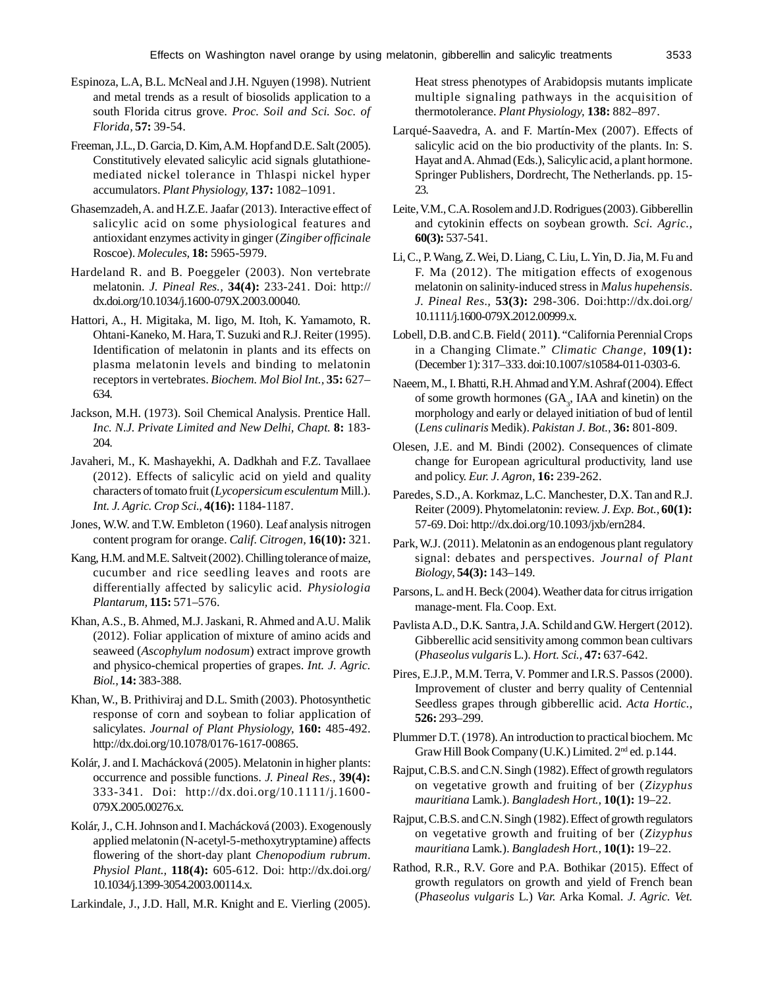- Espinoza, L.A, B.L. McNeal and J.H. Nguyen (1998). Nutrient and metal trends as a result of biosolids application to a south Florida citrus grove. *Proc. Soil and Sci. Soc. of Florida,* **57:** 39-54.
- Freeman, J.L., D. Garcia, D. Kim, A.M. Hopf and D.E. Salt (2005). Constitutively elevated salicylic acid signals glutathionemediated nickel tolerance in Thlaspi nickel hyper accumulators. *Plant Physiology,* **137:** 1082–1091.
- Ghasemzadeh, A. and H.Z.E. Jaafar (2013). Interactive effect of salicylic acid on some physiological features and antioxidant enzymes activity in ginger (*Zingiber officinale* Roscoe). *Molecules,* **18:** 5965-5979.
- Hardeland R. and B. Poeggeler (2003). Non vertebrate melatonin. *J. Pineal Res.,* **34(4):** 233-241. Doi: http:// dx.doi.org/10.1034/j.1600-079X.2003.00040.
- Hattori, A., H. Migitaka, M. Iigo, M. Itoh, K. Yamamoto, R. Ohtani-Kaneko, M. Hara, T. Suzuki and R.J. Reiter (1995). Identification of melatonin in plants and its effects on plasma melatonin levels and binding to melatonin receptors in vertebrates. *Biochem. Mol Biol Int.,* **35:** 627– 634.
- Jackson, M.H. (1973). Soil Chemical Analysis. Prentice Hall. *Inc. N.J. Private Limited and New Delhi, Chapt.* **8:** 183- 204.
- Javaheri, M., K. Mashayekhi, A. Dadkhah and F.Z. Tavallaee (2012). Effects of salicylic acid on yield and quality characters of tomato fruit (*Lycopersicum esculentum* Mill.). *Int. J. Agric. Crop Sci.,* **4(16):** 1184-1187.
- Jones, W.W. and T.W. Embleton (1960). Leaf analysis nitrogen content program for orange. *Calif. Citrogen,* **16(10):** 321.
- Kang, H.M. and M.E. Saltveit (2002). Chilling tolerance of maize, cucumber and rice seedling leaves and roots are differentially affected by salicylic acid. *Physiologia Plantarum,* **115:** 571–576.
- Khan, A.S., B. Ahmed, M.J. Jaskani, R. Ahmed and A.U. Malik (2012). Foliar application of mixture of amino acids and seaweed (*Ascophylum nodosum*) extract improve growth and physico-chemical properties of grapes. *Int. J. Agric. Biol.,* **14:** 383-388.
- Khan, W., B. Prithiviraj and D.L. Smith (2003). Photosynthetic response of corn and soybean to foliar application of salicylates. *Journal of Plant Physiology,* **160:** 485-492. http://dx.doi.org/10.1078/0176-1617-00865.
- Kolár, J. and I. Machácková (2005). Melatonin in higher plants: occurrence and possible functions. *J. Pineal Res.,* **39(4):** 333-341. Doi: http://dx.doi.org/10.1111/j.1600- 079X.2005.00276.x.
- Kolár, J., C.H. Johnson and I. Machácková (2003). Exogenously applied melatonin (N-acetyl-5-methoxytryptamine) affects flowering of the short-day plant *Chenopodium rubrum*. *Physiol Plant.,* **118(4):** 605-612. Doi: http://dx.doi.org/ 10.1034/j.1399-3054.2003.00114.x.
- Larkindale, J., J.D. Hall, M.R. Knight and E. Vierling (2005).

Heat stress phenotypes of Arabidopsis mutants implicate multiple signaling pathways in the acquisition of thermotolerance. *Plant Physiology,* **138:** 882–897.

- Larqué-Saavedra, A. and F. Martín-Mex (2007). Effects of salicylic acid on the bio productivity of the plants. In: S. Hayat and A. Ahmad (Eds.), Salicylic acid, a plant hormone. Springer Publishers, Dordrecht, The Netherlands. pp. 15- 23.
- Leite, V.M., C.A. Rosolem and J.D. Rodrigues (2003). Gibberellin and cytokinin effects on soybean growth. *Sci. Agric.,* **60(3):** 537-541.
- Li, C., P. Wang, Z. Wei, D. Liang, C. Liu, L. Yin, D. Jia, M. Fu and F. Ma (2012). The mitigation effects of exogenous melatonin on salinity-induced stress in *Malus hupehensis*. *J. Pineal Res.,* **53(3):** 298-306. Doi:http://dx.doi.org/ 10.1111/j.1600-079X.2012.00999.x.
- Lobell, D.B. and C.B. Field ( 2011**)**. "California Perennial Crops in a Changing Climate." *Climatic Change,* **109(1):** (December 1): 317–333. doi:10.1007/s10584-011-0303-6.
- Naeem, M., I. Bhatti, R.H. Ahmad and Y.M. Ashraf (2004). Effect of some growth hormones  $(GA_3, IAA$  and kinetin) on the morphology and early or delayed initiation of bud of lentil (*Lens culinaris* Medik). *Pakistan J. Bot.,* **36:** 801-809.
- Olesen, J.E. and M. Bindi (2002). Consequences of climate change for European agricultural productivity, land use and policy. *Eur. J. Agron,* **16:** 239-262.
- Paredes, S.D., A. Korkmaz, L.C. Manchester, D.X. Tan and R.J. Reiter (2009). Phytomelatonin: review. *J. Exp. Bot.,* **60(1):** 57-69. Doi: http://dx.doi.org/10.1093/jxb/ern284.
- Park, W.J. (2011). Melatonin as an endogenous plant regulatory signal: debates and perspectives. *Journal of Plant Biology*, **54(3):** 143–149.
- Parsons, L. and H. Beck (2004). Weather data for citrus irrigation manage-ment. Fla. Coop. Ext.
- Pavlista A.D., D.K. Santra, J.A. Schild and G.W. Hergert (2012). Gibberellic acid sensitivity among common bean cultivars (*Phaseolus vulgaris* L.). *Hort. Sci.,* **47:** 637-642.
- Pires, E.J.P., M.M. Terra, V. Pommer and I.R.S. Passos (2000). Improvement of cluster and berry quality of Centennial Seedless grapes through gibberellic acid. *Acta Hortic.,* **526:** 293–299.
- Plummer D.T. (1978). An introduction to practical biochem. Mc Graw Hill Book Company (U.K.) Limited. 2nd ed. p.144.
- Rajput, C.B.S. and C.N. Singh (1982). Effect of growth regulators on vegetative growth and fruiting of ber (*Zizyphus mauritiana* Lamk.). *Bangladesh Hort.,* **10(1):** 19–22.
- Rajput, C.B.S. and C.N. Singh (1982). Effect of growth regulators on vegetative growth and fruiting of ber (*Zizyphus mauritiana* Lamk.). *Bangladesh Hort.,* **10(1):** 19–22.
- Rathod, R.R., R.V. Gore and P.A. Bothikar (2015). Effect of growth regulators on growth and yield of French bean (*Phaseolus vulgaris* L.) *Var.* Arka Komal. *J. Agric. Vet.*